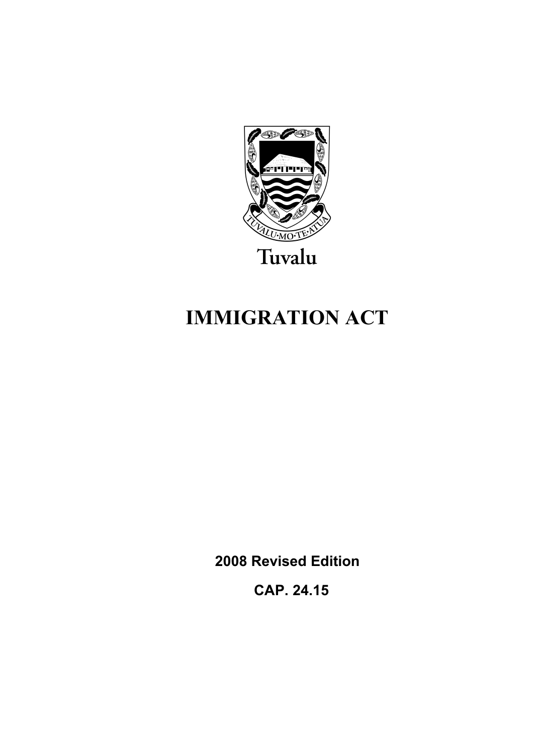

# **IMMIGRATION ACT**

**2008 Revised Edition** 

 **CAP. 24.15**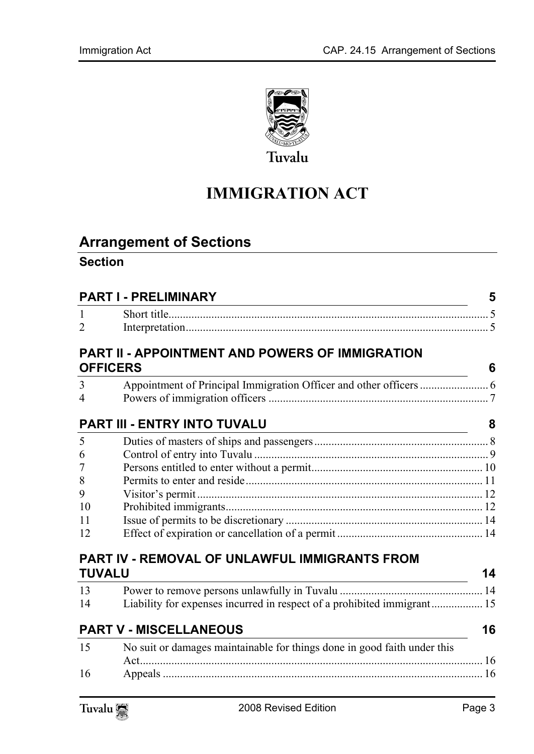

# **IMMIGRATION ACT**

# **Arrange[ment of Sections](#page-4-1)**

#### **Section**

| <b>PART I - PRELIMINARY</b> |                                                                                     |    |  |
|-----------------------------|-------------------------------------------------------------------------------------|----|--|
| $\mathbf{1}$                |                                                                                     |    |  |
| $\overline{2}$              |                                                                                     |    |  |
|                             | <b>PART II - APPOINTMENT AND POWERS OF IMMIGRATION</b><br><b>OFFICERS</b>           | 6  |  |
| 3                           |                                                                                     |    |  |
| $\overline{4}$              |                                                                                     |    |  |
|                             | PART III - ENTRY INTO TUVALU<br><u> 1989 - Johann Barbara, martxa alemaniar arg</u> | 8  |  |
| 5                           |                                                                                     |    |  |
| 6                           |                                                                                     |    |  |
| $\overline{7}$              |                                                                                     |    |  |
| 8                           |                                                                                     |    |  |
| 9                           |                                                                                     |    |  |
| 10                          |                                                                                     |    |  |
| 11                          |                                                                                     |    |  |
| 12                          |                                                                                     |    |  |
|                             | PART IV - REMOVAL OF UNLAWFUL IMMIGRANTS FROM                                       |    |  |
| <b>TUVALU</b>               |                                                                                     | 14 |  |
| 13                          |                                                                                     |    |  |
| 14                          | Liability for expenses incurred in respect of a prohibited immigrant 15             |    |  |
|                             | <b>PART V - MISCELLANEOUS</b>                                                       | 16 |  |
| 15                          | No suit or damages maintainable for things done in good faith under this            |    |  |
| 16                          |                                                                                     |    |  |
|                             |                                                                                     |    |  |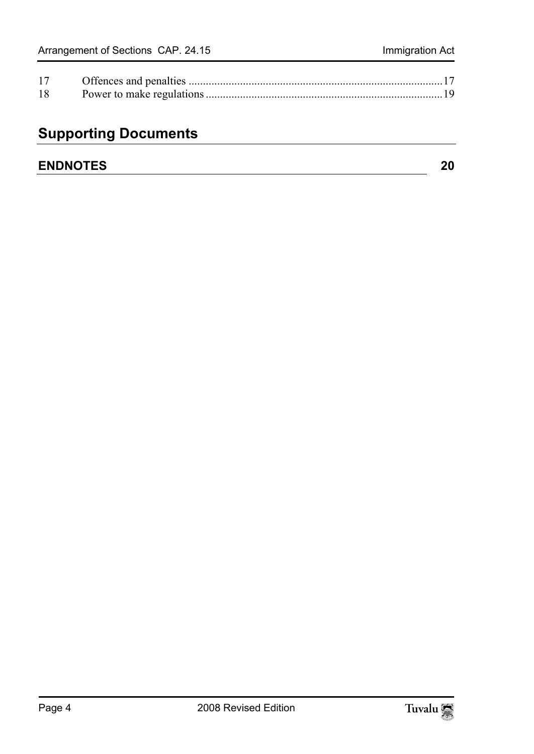| 17 |  |
|----|--|
| 18 |  |

# **Supporting Documents**

| <b>ENDNOTES</b> |  |
|-----------------|--|
|-----------------|--|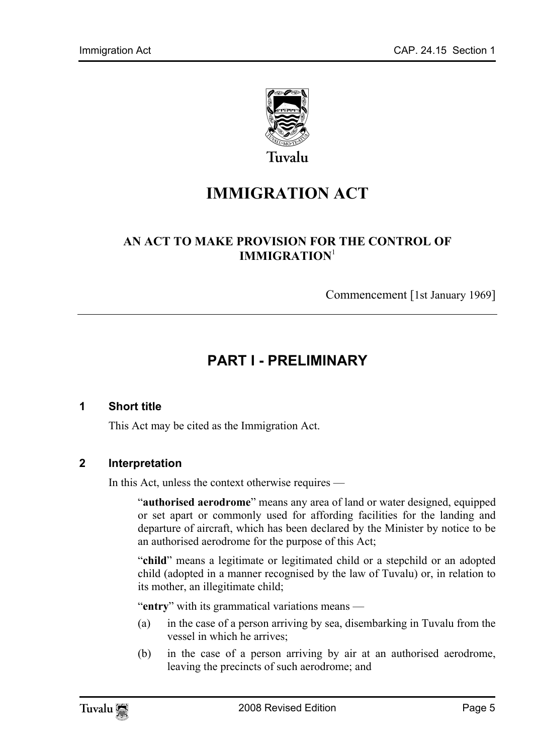

# **IMMIGRATION ACT**

#### **AN ACT TO MAKE PROVISION FOR THE CONTROL OF IMMIGRATION**<sup>1</sup>

<span id="page-4-0"></span>Commencement [1st January 1969]

## <span id="page-4-1"></span>**PART I - PRELIMINARY**

#### **1 Short title**

This Act may be cited as the Immigration Act.

#### **2 Interpretation**

In this Act, unless the context otherwise requires —

"**authorised aerodrome**" means any area of land or water designed, equipped or set apart or commonly used for affording facilities for the landing and departure of aircraft, which has been declared by the Minister by notice to be an authorised aerodrome for the purpose of this Act;

"**child**" means a legitimate or legitimated child or a stepchild or an adopted child (adopted in a manner recognised by the law of Tuvalu) or, in relation to its mother, an illegitimate child;

"**entry**" with its grammatical variations means —

- (a) in the case of a person arriving by sea, disembarking in Tuvalu from the vessel in which he arrives;
- (b) in the case of a person arriving by air at an authorised aerodrome, leaving the precincts of such aerodrome; and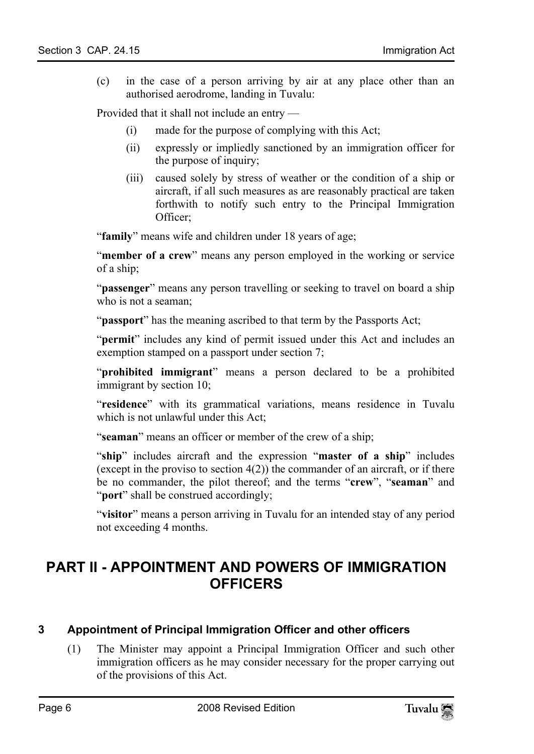(c) in the case of a person arriving by air at any place other than an authorised aerodrome, landing in Tuvalu:

Provided that it shall not include an entry —

- (i) made for the purpose of complying with this Act;
- (ii) expressly or impliedly sanctioned by an immigration officer for the purpose of inquiry;
- (iii) caused solely by stress of weather or the condition of a ship or aircraft, if all such measures as are reasonably practical are taken forthwith to notify such entry to the Principal Immigration Officer;

"**family**" means wife and children under 18 years of age;

"**member of a crew**" means any person employed in the working or service of a ship;

"**passenger**" means any person travelling or seeking to travel on board a ship who is not a seaman;

"**passport**" has the meaning ascribed to that term by the Passports Act;

"**permit**" includes any kind of permit issued under this Act and includes an exemption stamped on a passport under section 7;

"**prohibited immigrant**" means a person declared to be a prohibited immigrant by section 10;

"**residence**" with its grammatical variations, means residence in Tuvalu which is not unlawful under this Act;

"**seaman**" means an officer or member of the crew of a ship;

"**ship**" includes aircraft and the expression "**master of a ship**" includes (except in the proviso to section  $4(2)$ ) the commander of an aircraft, or if there be no commander, the pilot thereof; and the terms "**crew**", "**seaman**" and "**port**" shall be construed accordingly;

<span id="page-5-1"></span><span id="page-5-0"></span>"**visitor**" means a person arriving in Tuvalu for an intended stay of any period not exceeding 4 months.

### **PART II - APPOINTMENT AND POWERS OF IMMIGRATION OFFICERS**

#### **3 Appointment of Principal Immigration Officer and other officers**

(1) The Minister may appoint a Principal Immigration Officer and such other immigration officers as he may consider necessary for the proper carrying out of the provisions of this Act.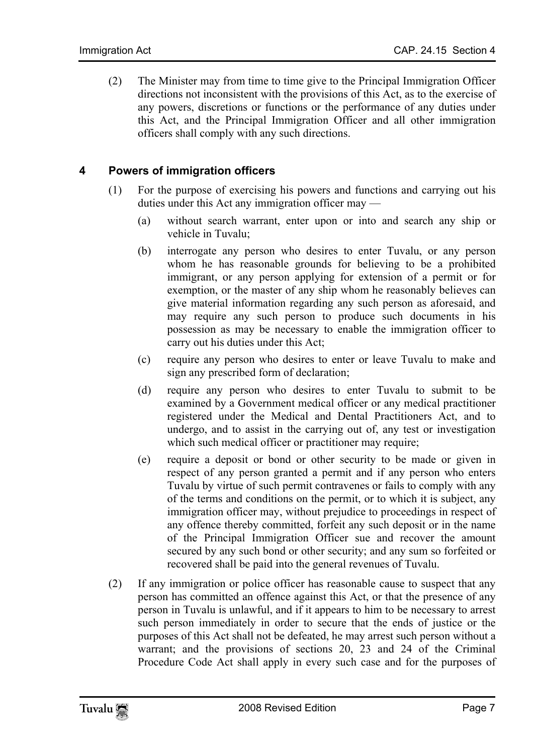<span id="page-6-0"></span>(2) The Minister may from time to time give to the Principal Immigration Officer directions not inconsistent with the provisions of this Act, as to the exercise of any powers, discretions or functions or the performance of any duties under this Act, and the Principal Immigration Officer and all other immigration officers shall comply with any such directions.

#### **4 Powers of immigration officers**

- (1) For the purpose of exercising his powers and functions and carrying out his duties under this Act any immigration officer may —
	- (a) without search warrant, enter upon or into and search any ship or vehicle in Tuvalu;
	- (b) interrogate any person who desires to enter Tuvalu, or any person whom he has reasonable grounds for believing to be a prohibited immigrant, or any person applying for extension of a permit or for exemption, or the master of any ship whom he reasonably believes can give material information regarding any such person as aforesaid, and may require any such person to produce such documents in his possession as may be necessary to enable the immigration officer to carry out his duties under this Act;
	- (c) require any person who desires to enter or leave Tuvalu to make and sign any prescribed form of declaration;
	- (d) require any person who desires to enter Tuvalu to submit to be examined by a Government medical officer or any medical practitioner registered under the Medical and Dental Practitioners Act, and to undergo, and to assist in the carrying out of, any test or investigation which such medical officer or practitioner may require;
	- (e) require a deposit or bond or other security to be made or given in respect of any person granted a permit and if any person who enters Tuvalu by virtue of such permit contravenes or fails to comply with any of the terms and conditions on the permit, or to which it is subject, any immigration officer may, without prejudice to proceedings in respect of any offence thereby committed, forfeit any such deposit or in the name of the Principal Immigration Officer sue and recover the amount secured by any such bond or other security; and any sum so forfeited or recovered shall be paid into the general revenues of Tuvalu.
- (2) If any immigration or police officer has reasonable cause to suspect that any person has committed an offence against this Act, or that the presence of any person in Tuvalu is unlawful, and if it appears to him to be necessary to arrest such person immediately in order to secure that the ends of justice or the purposes of this Act shall not be defeated, he may arrest such person without a warrant; and the provisions of sections 20, 23 and 24 of the Criminal Procedure Code Act shall apply in every such case and for the purposes of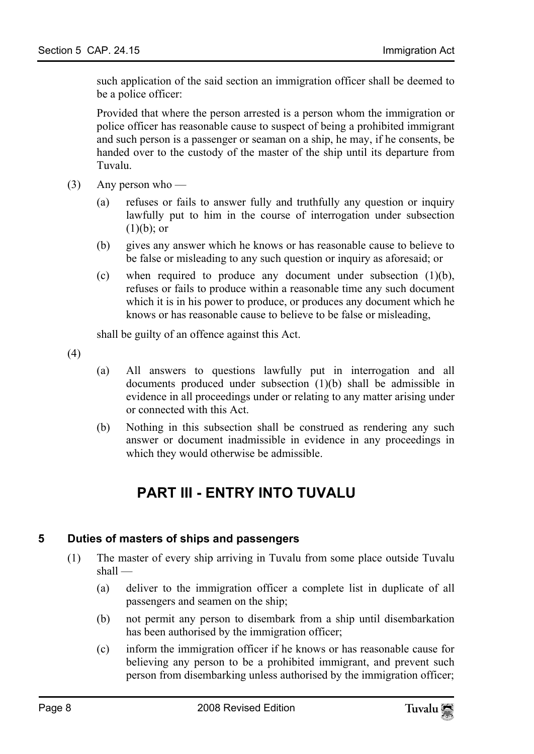such application of the said section an immigration officer shall be deemed to be a police officer:

Provided that where the person arrested is a person whom the immigration or police officer has reasonable cause to suspect of being a prohibited immigrant and such person is a passenger or seaman on a ship, he may, if he consents, be handed over to the custody of the master of the ship until its departure from Tuvalu.

- $(3)$  Any person who
	- (a) refuses or fails to answer fully and truthfully any question or inquiry lawfully put to him in the course of interrogation under subsection  $(1)(b)$ ; or
	- (b) gives any answer which he knows or has reasonable cause to believe to be false or misleading to any such question or inquiry as aforesaid; or
	- (c) when required to produce any document under subsection (1)(b), refuses or fails to produce within a reasonable time any such document which it is in his power to produce, or produces any document which he knows or has reasonable cause to believe to be false or misleading,

shall be guilty of an offence against this Act.

(4)

- (a) All answers to questions lawfully put in interrogation and all documents produced under subsection (1)(b) shall be admissible in evidence in all proceedings under or relating to any matter arising under or connected with this Act.
- (b) Nothing in this subsection shall be construed as rendering any such answer or document inadmissible in evidence in any proceedings in which they would otherwise be admissible.

### <span id="page-7-1"></span><span id="page-7-0"></span>**PART III - ENTRY INTO TUVALU**

#### **5 Duties of masters of ships and passengers**

- (1) The master of every ship arriving in Tuvalu from some place outside Tuvalu shall —
	- (a) deliver to the immigration officer a complete list in duplicate of all passengers and seamen on the ship;
	- (b) not permit any person to disembark from a ship until disembarkation has been authorised by the immigration officer;
	- (c) inform the immigration officer if he knows or has reasonable cause for believing any person to be a prohibited immigrant, and prevent such person from disembarking unless authorised by the immigration officer;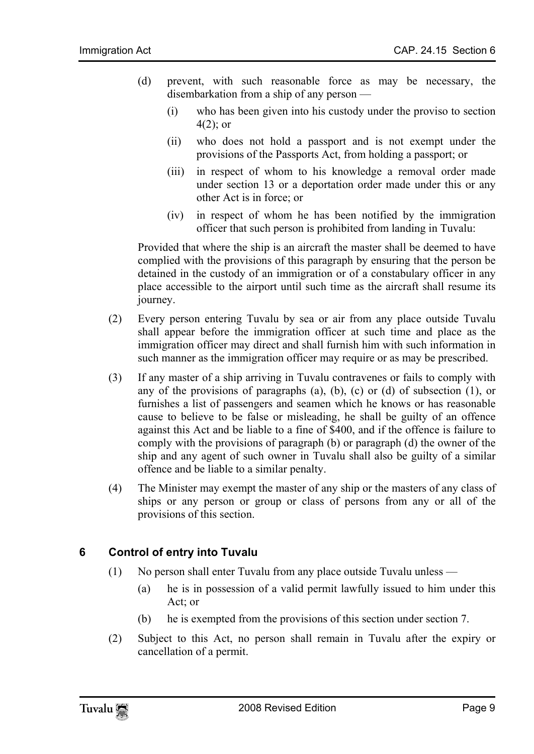- (d) prevent, with such reasonable force as may be necessary, the disembarkation from a ship of any person —
	- (i) who has been given into his custody under the proviso to section  $4(2)$ ; or
	- (ii) who does not hold a passport and is not exempt under the provisions of the Passports Act, from holding a passport; or
	- (iii) in respect of whom to his knowledge a removal order made under section 13 or a deportation order made under this or any other Act is in force; or
	- (iv) in respect of whom he has been notified by the immigration officer that such person is prohibited from landing in Tuvalu:

Provided that where the ship is an aircraft the master shall be deemed to have complied with the provisions of this paragraph by ensuring that the person be detained in the custody of an immigration or of a constabulary officer in any place accessible to the airport until such time as the aircraft shall resume its journey.

- (2) Every person entering Tuvalu by sea or air from any place outside Tuvalu shall appear before the immigration officer at such time and place as the immigration officer may direct and shall furnish him with such information in such manner as the immigration officer may require or as may be prescribed.
- (3) If any master of a ship arriving in Tuvalu contravenes or fails to comply with any of the provisions of paragraphs (a), (b), (c) or (d) of subsection  $(1)$ , or furnishes a list of passengers and seamen which he knows or has reasonable cause to believe to be false or misleading, he shall be guilty of an offence against this Act and be liable to a fine of \$400, and if the offence is failure to comply with the provisions of paragraph (b) or paragraph (d) the owner of the ship and any agent of such owner in Tuvalu shall also be guilty of a similar offence and be liable to a similar penalty.
- <span id="page-8-0"></span>(4) The Minister may exempt the master of any ship or the masters of any class of ships or any person or group or class of persons from any or all of the provisions of this section.

#### **6 Control of entry into Tuvalu**

- (1) No person shall enter Tuvalu from any place outside Tuvalu unless
	- (a) he is in possession of a valid permit lawfully issued to him under this Act; or
	- (b) he is exempted from the provisions of this section under section 7.
- (2) Subject to this Act, no person shall remain in Tuvalu after the expiry or cancellation of a permit.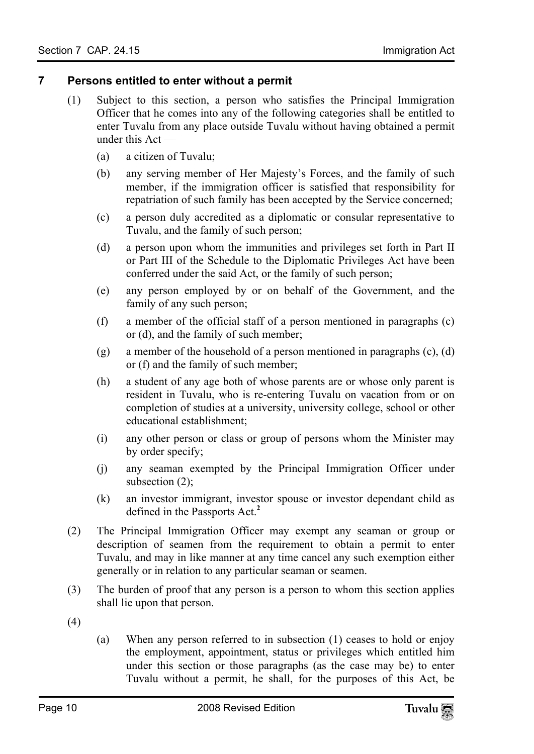#### **7 Persons entitled to enter without a permit**

- <span id="page-9-0"></span>(1) Subject to this section, a person who satisfies the Principal Immigration Officer that he comes into any of the following categories shall be entitled to enter Tuvalu from any place outside Tuvalu without having obtained a permit under this Act —
	- (a) a citizen of Tuvalu;
	- (b) any serving member of Her Majesty's Forces, and the family of such member, if the immigration officer is satisfied that responsibility for repatriation of such family has been accepted by the Service concerned;
	- (c) a person duly accredited as a diplomatic or consular representative to Tuvalu, and the family of such person;
	- (d) a person upon whom the immunities and privileges set forth in Part II or Part III of the Schedule to the Diplomatic Privileges Act have been conferred under the said Act, or the family of such person;
	- (e) any person employed by or on behalf of the Government, and the family of any such person;
	- (f) a member of the official staff of a person mentioned in paragraphs (c) or (d), and the family of such member;
	- (g) a member of the household of a person mentioned in paragraphs (c), (d) or (f) and the family of such member;
	- (h) a student of any age both of whose parents are or whose only parent is resident in Tuvalu, who is re-entering Tuvalu on vacation from or on completion of studies at a university, university college, school or other educational establishment;
	- (i) any other person or class or group of pers[on](#page-19-1)s whom the Minister may by order specify;
	- (j) any seaman exempted by the Principal Immigration Officer under subsection (2);
	- (k) an investor immigrant, investor spouse or investor dependant child as defined in the Passports Act.**<sup>2</sup>**
- (2) The Principal Immigration Officer may exempt any seaman or group or description of seamen from the requirement to obtain a permit to enter Tuvalu, and may in like manner at any time cancel any such exemption either generally or in relation to any particular seaman or seamen.
- (3) The burden of proof that any person is a person to whom this section applies shall lie upon that person.
- (4)
- (a) When any person referred to in subsection (1) ceases to hold or enjoy the employment, appointment, status or privileges which entitled him under this section or those paragraphs (as the case may be) to enter Tuvalu without a permit, he shall, for the purposes of this Act, be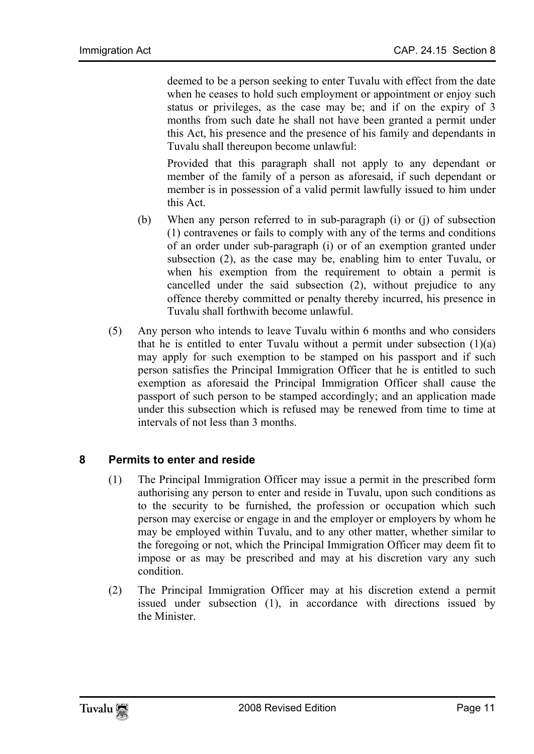deemed to be a person seeking to enter Tuvalu with effect from the date when he ceases to hold such employment or appointment or enjoy such status or privileges, as the case may be; and if on the expiry of 3 months from such date he shall not have been granted a permit under this Act, his presence and the presence of his family and dependants in Tuvalu shall thereupon become unlawful:

Provided that this paragraph shall not apply to any dependant or member of the family of a person as aforesaid, if such dependant or member is in possession of a valid permit lawfully issued to him under this Act.

- (b) When any person referred to in sub-paragraph (i) or (j) of subsection (1) contravenes or fails to comply with any of the terms and conditions of an order under sub-paragraph (i) or of an exemption granted under subsection (2), as the case may be, enabling him to enter Tuvalu, or when his exemption from the requirement to obtain a permit is cancelled under the said subsection (2), without prejudice to any offence thereby committed or penalty thereby incurred, his presence in Tuvalu shall forthwith become unlawful.
- <span id="page-10-0"></span>(5) Any person who intends to leave Tuvalu within 6 months and who considers that he is entitled to enter Tuvalu without a permit under subsection  $(1)(a)$ may apply for such exemption to be stamped on his passport and if such person satisfies the Principal Immigration Officer that he is entitled to such exemption as aforesaid the Principal Immigration Officer shall cause the passport of such person to be stamped accordingly; and an application made under this subsection which is refused may be renewed from time to time at intervals of not less than 3 months.

#### **8 Permits to enter and reside**

- (1) The Principal Immigration Officer may issue a permit in the prescribed form authorising any person to enter and reside in Tuvalu, upon such conditions as to the security to be furnished, the profession or occupation which such person may exercise or engage in and the employer or employers by whom he may be employed within Tuvalu, and to any other matter, whether similar to the foregoing or not, which the Principal Immigration Officer may deem fit to impose or as may be prescribed and may at his discretion vary any such condition.
- (2) The Principal Immigration Officer may at his discretion extend a permit issued under subsection (1), in accordance with directions issued by the Minister.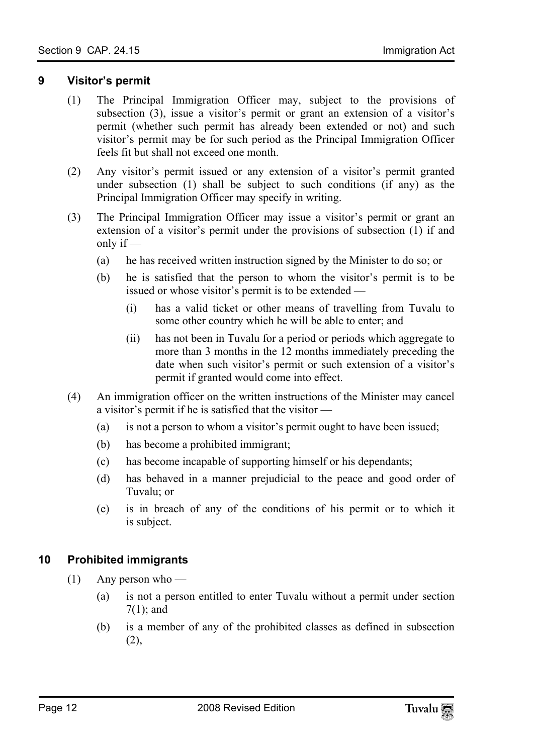#### **9 Visitor's permit**

- <span id="page-11-0"></span>(1) The Principal Immigration Officer may, subject to the provisions of subsection (3), issue a visitor's permit or grant an extension of a visitor's permit (whether such permit has already been extended or not) and such visitor's permit may be for such period as the Principal Immigration Officer feels fit but shall not exceed one month.
- (2) Any visitor's permit issued or any extension of a visitor's permit granted under subsection (1) shall be subject to such conditions (if any) as the Principal Immigration Officer may specify in writing.
- (3) The Principal Immigration Officer may issue a visitor's permit or grant an extension of a visitor's permit under the provisions of subsection (1) if and only if —
	- (a) he has received written instruction signed by the Minister to do so; or
	- (b) he is satisfied that the person to whom the visitor's permit is to be issued or whose visitor's permit is to be extended —
		- (i) has a valid ticket or other means of travelling from Tuvalu to some other country which he will be able to enter; and
		- (ii) has not been in Tuvalu for a period or periods which aggregate to more than 3 months in the 12 months immediately preceding the date when such visitor's permit or such extension of a visitor's permit if granted would come into effect.
- (4) An immigration officer on the written instructions of the Minister may cancel a visitor's permit if he is satisfied that the visitor —
	- (a) is not a person to whom a visitor's permit ought to have been issued;
	- (b) has become a prohibited immigrant;
	- (c) has become incapable of supporting himself or his dependants;
	- (d) has behaved in a manner prejudicial to the peace and good order of Tuvalu; or
	- (e) is in breach of any of the conditions of his permit or to which it is subject.

#### <span id="page-11-1"></span>**10 Prohibited immigrants**

- $(1)$  Any person who
	- (a) is not a person entitled to enter Tuvalu without a permit under section 7(1); and
	- (b) is a member of any of the prohibited classes as defined in subsection (2),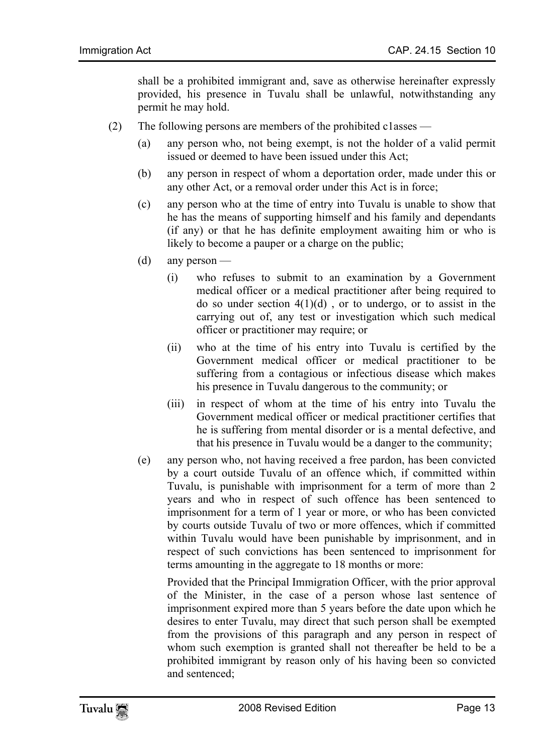shall be a prohibited immigrant and, save as otherwise hereinafter expressly provided, his presence in Tuvalu shall be unlawful, notwithstanding any permit he may hold.

- (2) The following persons are members of the prohibited c1asses
	- (a) any person who, not being exempt, is not the holder of a valid permit issued or deemed to have been issued under this Act;
	- (b) any person in respect of whom a deportation order, made under this or any other Act, or a removal order under this Act is in force;
	- (c) any person who at the time of entry into Tuvalu is unable to show that he has the means of supporting himself and his family and dependants (if any) or that he has definite employment awaiting him or who is likely to become a pauper or a charge on the public;
	- (d) any person
		- (i) who refuses to submit to an examination by a Government medical officer or a medical practitioner after being required to do so under section  $4(1)(d)$ , or to undergo, or to assist in the carrying out of, any test or investigation which such medical officer or practitioner may require; or
		- (ii) who at the time of his entry into Tuvalu is certified by the Government medical officer or medical practitioner to be suffering from a contagious or infectious disease which makes his presence in Tuvalu dangerous to the community; or
		- (iii) in respect of whom at the time of his entry into Tuvalu the Government medical officer or medical practitioner certifies that he is suffering from mental disorder or is a mental defective, and that his presence in Tuvalu would be a danger to the community;
	- (e) any person who, not having received a free pardon, has been convicted by a court outside Tuvalu of an offence which, if committed within Tuvalu, is punishable with imprisonment for a term of more than 2 years and who in respect of such offence has been sentenced to imprisonment for a term of 1 year or more, or who has been convicted by courts outside Tuvalu of two or more offences, which if committed within Tuvalu would have been punishable by imprisonment, and in respect of such convictions has been sentenced to imprisonment for terms amounting in the aggregate to 18 months or more:

Provided that the Principal Immigration Officer, with the prior approval of the Minister, in the case of a person whose last sentence of imprisonment expired more than 5 years before the date upon which he desires to enter Tuvalu, may direct that such person shall be exempted from the provisions of this paragraph and any person in respect of whom such exemption is granted shall not thereafter be held to be a prohibited immigrant by reason only of his having been so convicted and sentenced;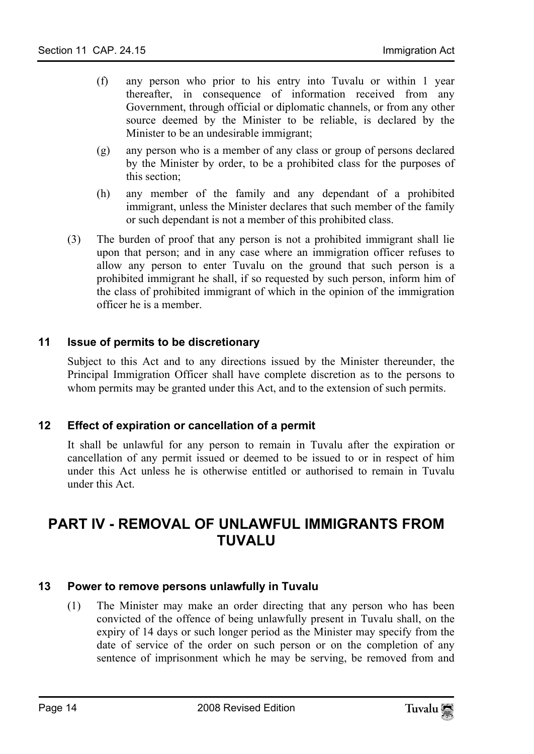- (f) any person who prior to his entry into Tuvalu or within 1 year thereafter, in consequence of information received from any Government, through official or diplomatic channels, or from any other source deemed by the Minister to be reliable, is declared by the Minister to be an undesirable immigrant;
- (g) any person who is a member of any class or group of persons declared by the Minister by order, to be a prohibited class for the purposes of this section;
- (h) any member of the family and any dependant of a prohibited immigrant, unless the Minister declares that such member of the family or such dependant is not a member of this prohibited class.
- <span id="page-13-0"></span>(3) The burden of proof that any person is not a prohibited immigrant shall lie upon that person; and in any case where an immigration officer refuses to allow any person to enter Tuvalu on the ground that such person is a prohibited immigrant he shall, if so requested by such person, inform him of the class of prohibited immigrant of which in the opinion of the immigration officer he is a member.

#### **11 Issue of permits to be discretionary**

<span id="page-13-1"></span>Subject to this Act and to any directions issued by the Minister thereunder, the Principal Immigration Officer shall have complete discretion as to the persons to whom permits may be granted under this Act, and to the extension of such permits.

#### **12 Effect of expiration or cancellation of a permit**

<span id="page-13-2"></span>It shall be unlawful for any person to remain in Tuvalu after the expiration or cancellation of any permit issued or deemed to be issued to or in respect of him under this Act unless he is otherwise entitled or authorised to remain in Tuvalu under this Act.

### <span id="page-13-3"></span>**PART IV - REMOVAL OF UNLAWFUL IMMIGRANTS FROM TUVALU**

#### **13 Power to remove persons unlawfully in Tuvalu**

(1) The Minister may make an order directing that any person who has been convicted of the offence of being unlawfully present in Tuvalu shall, on the expiry of 14 days or such longer period as the Minister may specify from the date of service of the order on such person or on the completion of any sentence of imprisonment which he may be serving, be removed from and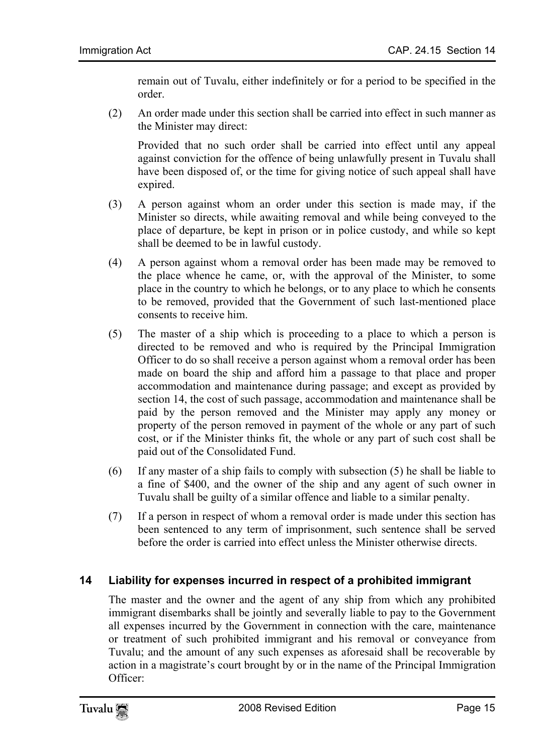remain out of Tuvalu, either indefinitely or for a period to be specified in the order.

(2) An order made under this section shall be carried into effect in such manner as the Minister may direct:

Provided that no such order shall be carried into effect until any appeal against conviction for the offence of being unlawfully present in Tuvalu shall have been disposed of, or the time for giving notice of such appeal shall have expired.

- (3) A person against whom an order under this section is made may, if the Minister so directs, while awaiting removal and while being conveyed to the place of departure, be kept in prison or in police custody, and while so kept shall be deemed to be in lawful custody.
- (4) A person against whom a removal order has been made may be removed to the place whence he came, or, with the approval of the Minister, to some place in the country to which he belongs, or to any place to which he consents to be removed, provided that the Government of such last-mentioned place consents to receive him.
- (5) The master of a ship which is proceeding to a place to which a person is directed to be removed and who is required by the Principal Immigration Officer to do so shall receive a person against whom a removal order has been made on board the ship and afford him a passage to that place and proper accommodation and maintenance during passage; and except as provided by section 14, the cost of such passage, accommodation and maintenance shall be paid by the person removed and the Minister may apply any money or property of the person removed in payment of the whole or any part of such cost, or if the Minister thinks fit, the whole or any part of such cost shall be paid out of the Consolidated Fund.
- (6) If any master of a ship fails to comply with subsection (5) he shall be liable to a fine of \$400, and the owner of the ship and any agent of such owner in Tuvalu shall be guilty of a similar offence and liable to a similar penalty.
- <span id="page-14-0"></span>(7) If a person in respect of whom a removal order is made under this section has been sentenced to any term of imprisonment, such sentence shall be served before the order is carried into effect unless the Minister otherwise directs.

#### **14 Liability for expenses incurred in respect of a prohibited immigrant**

The master and the owner and the agent of any ship from which any prohibited immigrant disembarks shall be jointly and severally liable to pay to the Government all expenses incurred by the Government in connection with the care, maintenance or treatment of such prohibited immigrant and his removal or conveyance from Tuvalu; and the amount of any such expenses as aforesaid shall be recoverable by action in a magistrate's court brought by or in the name of the Principal Immigration Officer: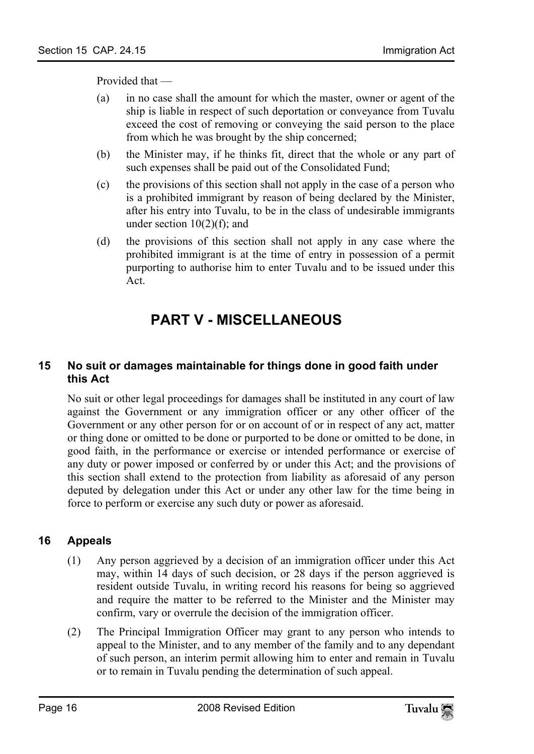Provided that —

- (a) in no case shall the amount for which the master, owner or agent of the ship is liable in respect of such deportation or conveyance from Tuvalu exceed the cost of removing or conveying the said person to the place from which he was brought by the ship concerned;
- (b) the Minister may, if he thinks fit, direct that the whole or any part of such expenses shall be paid out of the Consolidated Fund;
- (c) the provisions of this section shall not apply in the case of a person who is a prohibited immigrant by reason of being declared by the Minister, after his entry into Tuvalu, to be in the class of undesirable immigrants under section  $10(2)(f)$ ; and
- (d) the provisions of this section shall not apply in any case where the prohibited immigrant is at the time of entry in possession of a permit purporting to authorise him to enter Tuvalu and to be issued under this Act.

# <span id="page-15-1"></span><span id="page-15-0"></span>**PART V - MISCELLANEOUS**

#### **15 No suit or damages maintainable for things done in good faith under this Act**

<span id="page-15-2"></span>No suit or other legal proceedings for damages shall be instituted in any court of law against the Government or any immigration officer or any other officer of the Government or any other person for or on account of or in respect of any act, matter or thing done or omitted to be done or purported to be done or omitted to be done, in good faith, in the performance or exercise or intended performance or exercise of any duty or power imposed or conferred by or under this Act; and the provisions of this section shall extend to the protection from liability as aforesaid of any person deputed by delegation under this Act or under any other law for the time being in force to perform or exercise any such duty or power as aforesaid.

#### **16 Appeals**

- (1) Any person aggrieved by a decision of an immigration officer under this Act may, within 14 days of such decision, or 28 days if the person aggrieved is resident outside Tuvalu, in writing record his reasons for being so aggrieved and require the matter to be referred to the Minister and the Minister may confirm, vary or overrule the decision of the immigration officer.
- (2) The Principal Immigration Officer may grant to any person who intends to appeal to the Minister, and to any member of the family and to any dependant of such person, an interim permit allowing him to enter and remain in Tuvalu or to remain in Tuvalu pending the determination of such appeal.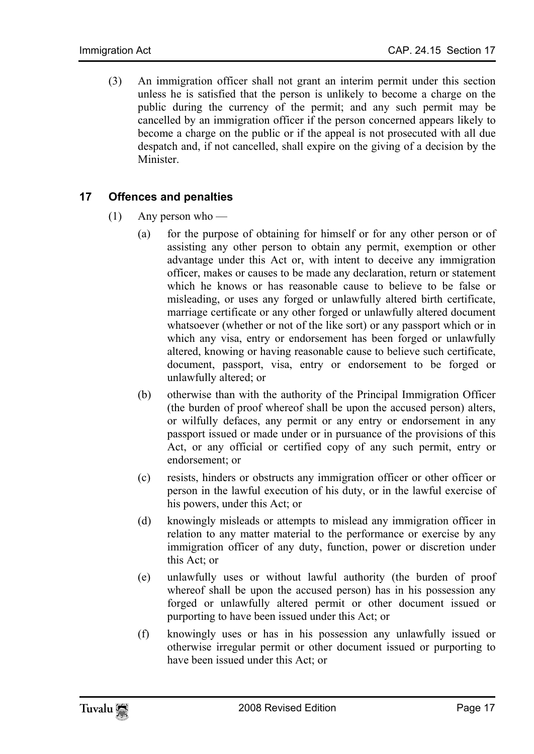(3) An immigration officer shall not grant an interim permit under this section unless he is satisfied that the person is unlikely to become a charge on the public during the currency of the permit; and any such permit may be cancelled by an immigration officer if the person concerned appears likely to become a charge on the public or if the appeal is not prosecuted with all due despatch and, if not cancelled, shall expire on the giving of a decision by the Minister.

#### **17 Offences and penalties**

- $(1)$  Any person who
	- (a) for the purpose of obtaining for himself or for any other person or of assisting any other person to obtain any permit, exemption or other advantage under this Act or, with intent to deceive any immigration officer, makes or causes to be made any declaration, return or statement which he knows or has reasonable cause to believe to be false or misleading, or uses any forged or unlawfully altered birth certificate, marriage certificate or any other forged or unlawfully altered document whatsoever (whether or not of the like sort) or any passport which or in which any visa, entry or endorsement has been forged or unlawfully altered, knowing or having reasonable cause to believe such certificate, document, passport, visa, entry or endorsement to be forged or unlawfully altered; or
	- (b) otherwise than with the authority of the Principal Immigration Officer (the burden of proof whereof shall be upon the accused person) alters, or wilfully defaces, any permit or any entry or endorsement in any passport issued or made under or in pursuance of the provisions of this Act, or any official or certified copy of any such permit, entry or endorsement; or
	- (c) resists, hinders or obstructs any immigration officer or other officer or person in the lawful execution of his duty, or in the lawful exercise of his powers, under this Act; or
	- (d) knowingly misleads or attempts to mislead any immigration officer in relation to any matter material to the performance or exercise by any immigration officer of any duty, function, power or discretion under this Act; or
	- (e) unlawfully uses or without lawful authority (the burden of proof whereof shall be upon the accused person) has in his possession any forged or unlawfully altered permit or other document issued or purporting to have been issued under this Act; or
	- (f) knowingly uses or has in his possession any unlawfully issued or otherwise irregular permit or other document issued or purporting to have been issued under this Act; or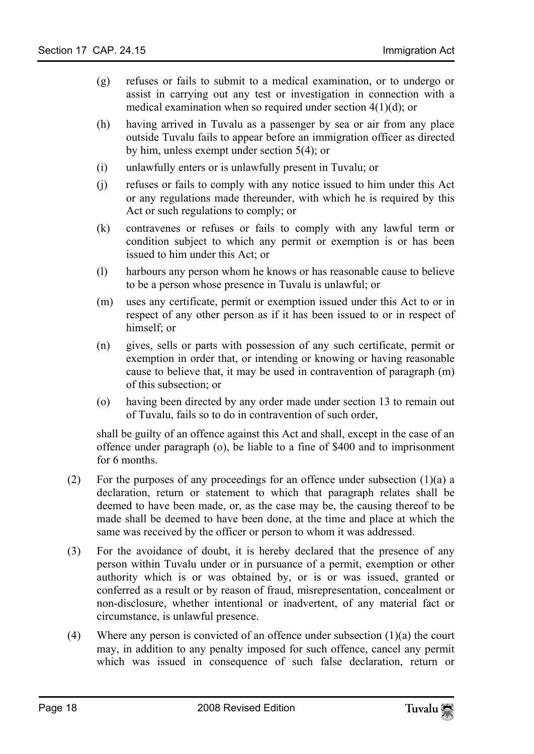- (g) refuses or fails to submit to a medical examination, or to undergo or assist in carrying out any test or investigation in connection with a medical examination when so required under section 4(1)(d); or
- (h) having arrived in Tuvalu as a passenger by sea or air from any place outside Tuvalu fails to appear before an immigration officer as directed by him, unless exempt under section 5(4); or
- (i) unlawfully enters or is unlawfully present in Tuvalu; or
- (j) refuses or fails to comply with any notice issued to him under this Act or any regulations made thereunder, with which he is required by this Act or such regulations to comply; or
- (k) contravenes or refuses or fails to comply with any lawful term or condition subject to which any permit or exemption is or has been issued to him under this Act; or
- (l) harbours any person whom he knows or has reasonable cause to believe to be a person whose presence in Tuvalu is unlawful; or
- (m) uses any certificate, permit or exemption issued under this Act to or in respect of any other person as if it has been issued to or in respect of himself; or
- (n) gives, sells or parts with possession of any such certificate, permit or exemption in order that, or intending or knowing or having reasonable cause to believe that, it may be used in contravention of paragraph (m) of this subsection; or
- (o) having been directed by any order made under section 13 to remain out of Tuvalu, fails so to do in contravention of such order,

shall be guilty of an offence against this Act and shall, except in the case of an offence under paragraph (o), be liable to a fine of \$400 and to imprisonment for 6 months.

- (2) For the purposes of any proceedings for an offence under subsection  $(1)(a)$  a declaration, return or statement to which that paragraph relates shall be deemed to have been made, or, as the case may be, the causing thereof to be made shall be deemed to have been done, at the time and place at which the same was received by the officer or person to whom it was addressed.
- (3) For the avoidance of doubt, it is hereby declared that the presence of any person within Tuvalu under or in pursuance of a permit, exemption or other authority which is or was obtained by, or is or was issued, granted or conferred as a result or by reason of fraud, misrepresentation, concealment or non-disclosure, whether intentional or inadvertent, of any material fact or circumstance, is unlawful presence.
- (4) Where any person is convicted of an offence under subsection  $(1)(a)$  the court may, in addition to any penalty imposed for such offence, cancel any permit which was issued in consequence of such false declaration, return or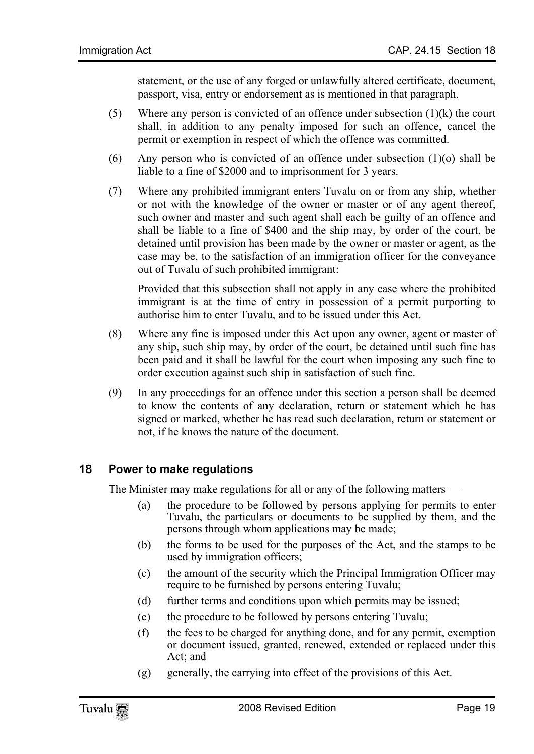statement, or the use of any forged or unlawfully altered certificate, document, passport, visa, entry or endorsement as is mentioned in that paragraph.

- (5) Where any person is convicted of an offence under subsection  $(1)(k)$  the court shall, in addition to any penalty imposed for such an offence, cancel the permit or exemption in respect of which the offence was committed.
- (6) Any person who is convicted of an offence under subsection  $(1)(o)$  shall be liable to a fine of \$2000 and to imprisonment for 3 years.
- (7) Where any prohibited immigrant enters Tuvalu on or from any ship, whether or not with the knowledge of the owner or master or of any agent thereof, such owner and master and such agent shall each be guilty of an offence and shall be liable to a fine of \$400 and the ship may, by order of the court, be detained until provision has been made by the owner or master or agent, as the case may be, to the satisfaction of an immigration officer for the conveyance out of Tuvalu of such prohibited immigrant:

Provided that this subsection shall not apply in any case where the prohibited immigrant is at the time of entry in possession of a permit purporting to authorise him to enter Tuvalu, and to be issued under this Act.

- (8) Where any fine is imposed under this Act upon any owner, agent or master of any ship, such ship may, by order of the court, be detained until such fine has been paid and it shall be lawful for the court when imposing any such fine to order execution against such ship in satisfaction of such fine.
- (9) In any proceedings for an offence under this section a person shall be deemed to know the contents of any declaration, return or statement which he has signed or marked, whether he has read such declaration, return or statement or not, if he knows the nature of the document.

#### **18 Power to make regulations**

The Minister may make regulations for all or any of the following matters —

- (a) the procedure to be followed by persons applying for permits to enter Tuvalu, the particulars or documents to be supplied by them, and the persons through whom applications may be made;
- (b) the forms to be used for the purposes of the Act, and the stamps to be used by immigration officers;
- (c) the amount of the security which the Principal Immigration Officer may require to be furnished by persons entering Tuvalu;
- (d) further terms and conditions upon which permits may be issued;
- (e) the procedure to be followed by persons entering Tuvalu;
- (f) the fees to be charged for anything done, and for any permit, exemption or document issued, granted, renewed, extended or replaced under this Act; and
- (g) generally, the carrying into effect of the provisions of this Act.